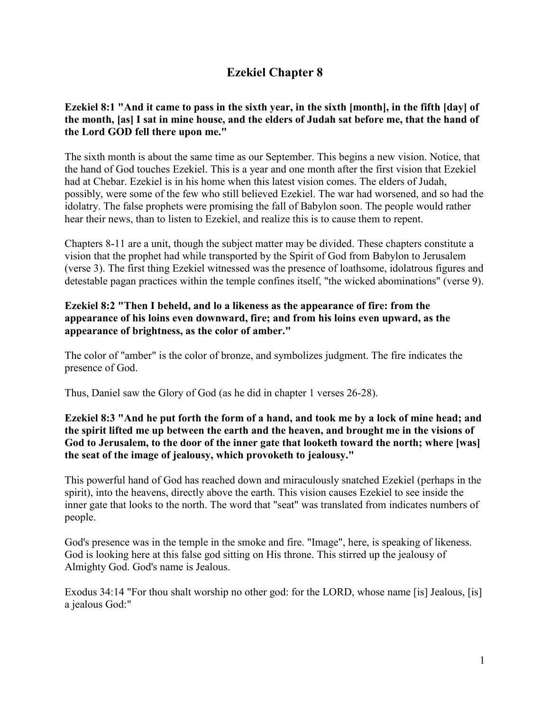# **Ezekiel Chapter 8**

# **Ezekiel 8:1 "And it came to pass in the sixth year, in the sixth [month], in the fifth [day] of the month, [as] I sat in mine house, and the elders of Judah sat before me, that the hand of the Lord GOD fell there upon me."**

The sixth month is about the same time as our September. This begins a new vision. Notice, that the hand of God touches Ezekiel. This is a year and one month after the first vision that Ezekiel had at Chebar. Ezekiel is in his home when this latest vision comes. The elders of Judah, possibly, were some of the few who still believed Ezekiel. The war had worsened, and so had the idolatry. The false prophets were promising the fall of Babylon soon. The people would rather hear their news, than to listen to Ezekiel, and realize this is to cause them to repent.

Chapters 8-11 are a unit, though the subject matter may be divided. These chapters constitute a vision that the prophet had while transported by the Spirit of God from Babylon to Jerusalem (verse 3). The first thing Ezekiel witnessed was the presence of loathsome, idolatrous figures and detestable pagan practices within the temple confines itself, "the wicked abominations" (verse 9).

## **Ezekiel 8:2 "Then I beheld, and lo a likeness as the appearance of fire: from the appearance of his loins even downward, fire; and from his loins even upward, as the appearance of brightness, as the color of amber."**

The color of "amber" is the color of bronze, and symbolizes judgment. The fire indicates the presence of God.

Thus, Daniel saw the Glory of God (as he did in chapter 1 verses 26-28).

## **Ezekiel 8:3 "And he put forth the form of a hand, and took me by a lock of mine head; and the spirit lifted me up between the earth and the heaven, and brought me in the visions of God to Jerusalem, to the door of the inner gate that looketh toward the north; where [was] the seat of the image of jealousy, which provoketh to jealousy."**

This powerful hand of God has reached down and miraculously snatched Ezekiel (perhaps in the spirit), into the heavens, directly above the earth. This vision causes Ezekiel to see inside the inner gate that looks to the north. The word that "seat" was translated from indicates numbers of people.

God's presence was in the temple in the smoke and fire. "Image", here, is speaking of likeness. God is looking here at this false god sitting on His throne. This stirred up the jealousy of Almighty God. God's name is Jealous.

Exodus 34:14 "For thou shalt worship no other god: for the LORD, whose name [is] Jealous, [is] a jealous God:"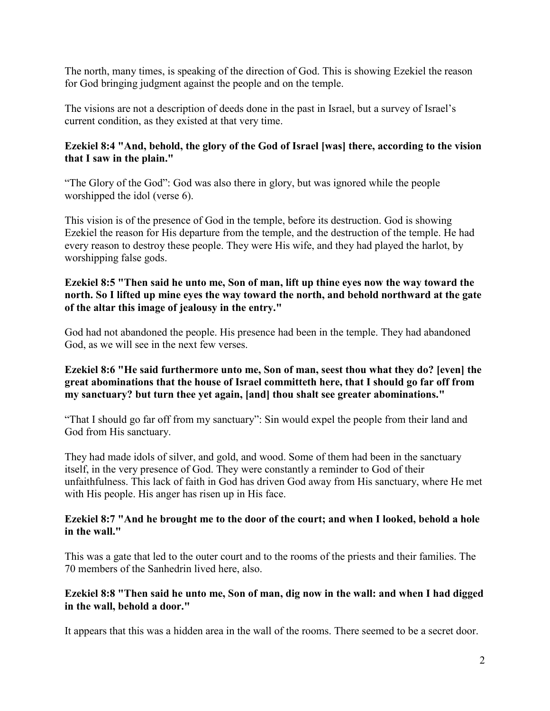The north, many times, is speaking of the direction of God. This is showing Ezekiel the reason for God bringing judgment against the people and on the temple.

The visions are not a description of deeds done in the past in Israel, but a survey of Israel's current condition, as they existed at that very time.

# **Ezekiel 8:4 "And, behold, the glory of the God of Israel [was] there, according to the vision that I saw in the plain."**

"The Glory of the God": God was also there in glory, but was ignored while the people worshipped the idol (verse 6).

This vision is of the presence of God in the temple, before its destruction. God is showing Ezekiel the reason for His departure from the temple, and the destruction of the temple. He had every reason to destroy these people. They were His wife, and they had played the harlot, by worshipping false gods.

# **Ezekiel 8:5 "Then said he unto me, Son of man, lift up thine eyes now the way toward the north. So I lifted up mine eyes the way toward the north, and behold northward at the gate of the altar this image of jealousy in the entry."**

God had not abandoned the people. His presence had been in the temple. They had abandoned God, as we will see in the next few verses.

# **Ezekiel 8:6 "He said furthermore unto me, Son of man, seest thou what they do? [even] the great abominations that the house of Israel committeth here, that I should go far off from my sanctuary? but turn thee yet again, [and] thou shalt see greater abominations."**

"That I should go far off from my sanctuary": Sin would expel the people from their land and God from His sanctuary.

They had made idols of silver, and gold, and wood. Some of them had been in the sanctuary itself, in the very presence of God. They were constantly a reminder to God of their unfaithfulness. This lack of faith in God has driven God away from His sanctuary, where He met with His people. His anger has risen up in His face.

#### **Ezekiel 8:7 "And he brought me to the door of the court; and when I looked, behold a hole in the wall."**

This was a gate that led to the outer court and to the rooms of the priests and their families. The 70 members of the Sanhedrin lived here, also.

#### **Ezekiel 8:8 "Then said he unto me, Son of man, dig now in the wall: and when I had digged in the wall, behold a door."**

It appears that this was a hidden area in the wall of the rooms. There seemed to be a secret door.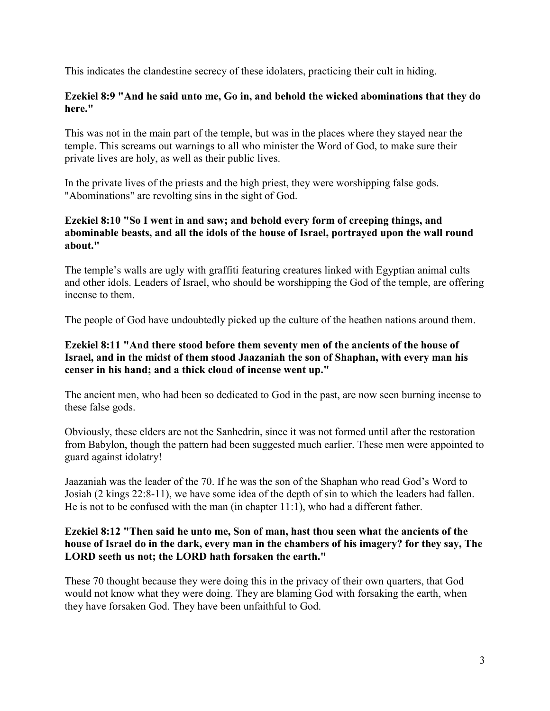This indicates the clandestine secrecy of these idolaters, practicing their cult in hiding.

#### **Ezekiel 8:9 "And he said unto me, Go in, and behold the wicked abominations that they do here."**

This was not in the main part of the temple, but was in the places where they stayed near the temple. This screams out warnings to all who minister the Word of God, to make sure their private lives are holy, as well as their public lives.

In the private lives of the priests and the high priest, they were worshipping false gods. "Abominations" are revolting sins in the sight of God.

## **Ezekiel 8:10 "So I went in and saw; and behold every form of creeping things, and abominable beasts, and all the idols of the house of Israel, portrayed upon the wall round about."**

The temple's walls are ugly with graffiti featuring creatures linked with Egyptian animal cults and other idols. Leaders of Israel, who should be worshipping the God of the temple, are offering incense to them.

The people of God have undoubtedly picked up the culture of the heathen nations around them.

## **Ezekiel 8:11 "And there stood before them seventy men of the ancients of the house of Israel, and in the midst of them stood Jaazaniah the son of Shaphan, with every man his censer in his hand; and a thick cloud of incense went up."**

The ancient men, who had been so dedicated to God in the past, are now seen burning incense to these false gods.

Obviously, these elders are not the Sanhedrin, since it was not formed until after the restoration from Babylon, though the pattern had been suggested much earlier. These men were appointed to guard against idolatry!

Jaazaniah was the leader of the 70. If he was the son of the Shaphan who read God's Word to Josiah (2 kings 22:8-11), we have some idea of the depth of sin to which the leaders had fallen. He is not to be confused with the man (in chapter 11:1), who had a different father.

## **Ezekiel 8:12 "Then said he unto me, Son of man, hast thou seen what the ancients of the house of Israel do in the dark, every man in the chambers of his imagery? for they say, The LORD seeth us not; the LORD hath forsaken the earth."**

These 70 thought because they were doing this in the privacy of their own quarters, that God would not know what they were doing. They are blaming God with forsaking the earth, when they have forsaken God. They have been unfaithful to God.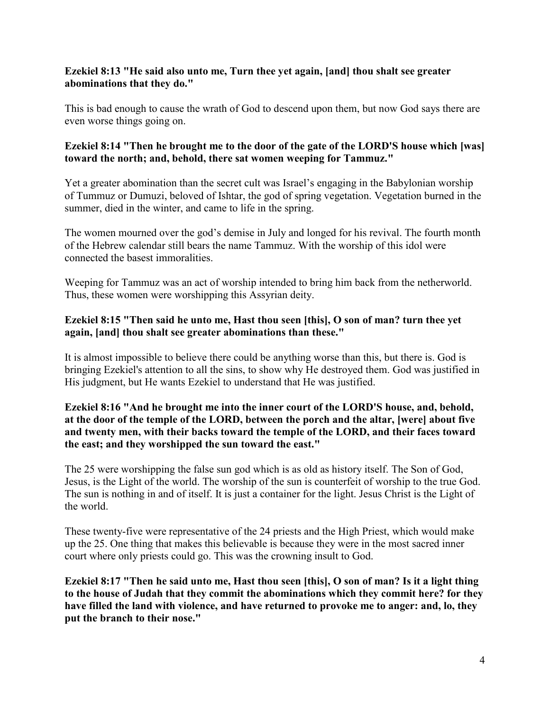## **Ezekiel 8:13 "He said also unto me, Turn thee yet again, [and] thou shalt see greater abominations that they do."**

This is bad enough to cause the wrath of God to descend upon them, but now God says there are even worse things going on.

## **Ezekiel 8:14 "Then he brought me to the door of the gate of the LORD'S house which [was] toward the north; and, behold, there sat women weeping for Tammuz."**

Yet a greater abomination than the secret cult was Israel's engaging in the Babylonian worship of Tummuz or Dumuzi, beloved of Ishtar, the god of spring vegetation. Vegetation burned in the summer, died in the winter, and came to life in the spring.

The women mourned over the god's demise in July and longed for his revival. The fourth month of the Hebrew calendar still bears the name Tammuz. With the worship of this idol were connected the basest immoralities.

Weeping for Tammuz was an act of worship intended to bring him back from the netherworld. Thus, these women were worshipping this Assyrian deity.

#### **Ezekiel 8:15 "Then said he unto me, Hast thou seen [this], O son of man? turn thee yet again, [and] thou shalt see greater abominations than these."**

It is almost impossible to believe there could be anything worse than this, but there is. God is bringing Ezekiel's attention to all the sins, to show why He destroyed them. God was justified in His judgment, but He wants Ezekiel to understand that He was justified.

## **Ezekiel 8:16 "And he brought me into the inner court of the LORD'S house, and, behold, at the door of the temple of the LORD, between the porch and the altar, [were] about five and twenty men, with their backs toward the temple of the LORD, and their faces toward the east; and they worshipped the sun toward the east."**

The 25 were worshipping the false sun god which is as old as history itself. The Son of God, Jesus, is the Light of the world. The worship of the sun is counterfeit of worship to the true God. The sun is nothing in and of itself. It is just a container for the light. Jesus Christ is the Light of the world.

These twenty-five were representative of the 24 priests and the High Priest, which would make up the 25. One thing that makes this believable is because they were in the most sacred inner court where only priests could go. This was the crowning insult to God.

**Ezekiel 8:17 "Then he said unto me, Hast thou seen [this], O son of man? Is it a light thing to the house of Judah that they commit the abominations which they commit here? for they have filled the land with violence, and have returned to provoke me to anger: and, lo, they put the branch to their nose."**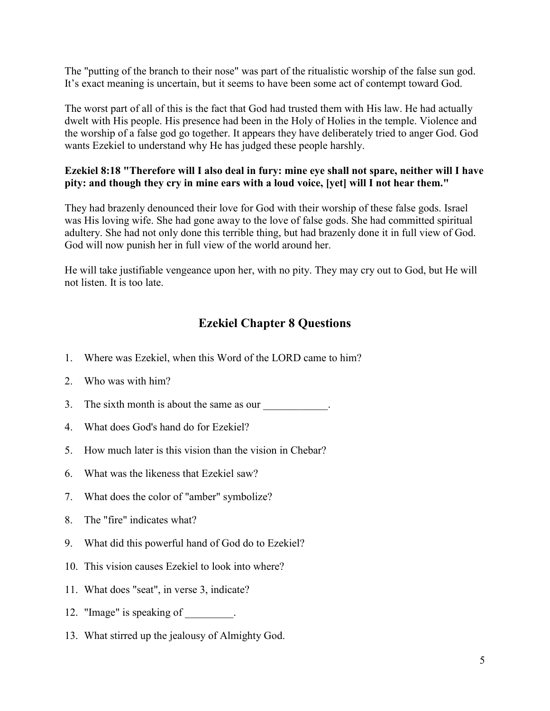The "putting of the branch to their nose" was part of the ritualistic worship of the false sun god. It's exact meaning is uncertain, but it seems to have been some act of contempt toward God.

The worst part of all of this is the fact that God had trusted them with His law. He had actually dwelt with His people. His presence had been in the Holy of Holies in the temple. Violence and the worship of a false god go together. It appears they have deliberately tried to anger God. God wants Ezekiel to understand why He has judged these people harshly.

## **Ezekiel 8:18 "Therefore will I also deal in fury: mine eye shall not spare, neither will I have pity: and though they cry in mine ears with a loud voice, [yet] will I not hear them."**

They had brazenly denounced their love for God with their worship of these false gods. Israel was His loving wife. She had gone away to the love of false gods. She had committed spiritual adultery. She had not only done this terrible thing, but had brazenly done it in full view of God. God will now punish her in full view of the world around her.

He will take justifiable vengeance upon her, with no pity. They may cry out to God, but He will not listen. It is too late.

# **Ezekiel Chapter 8 Questions**

- 1. Where was Ezekiel, when this Word of the LORD came to him?
- 2. Who was with him?
- 3. The sixth month is about the same as our \_\_\_\_\_\_\_\_\_\_\_.
- 4. What does God's hand do for Ezekiel?
- 5. How much later is this vision than the vision in Chebar?
- 6. What was the likeness that Ezekiel saw?
- 7. What does the color of "amber" symbolize?
- 8. The "fire" indicates what?
- 9. What did this powerful hand of God do to Ezekiel?
- 10. This vision causes Ezekiel to look into where?
- 11. What does "seat", in verse 3, indicate?
- 12. "Image" is speaking of  $\qquad \qquad$ .
- 13. What stirred up the jealousy of Almighty God.